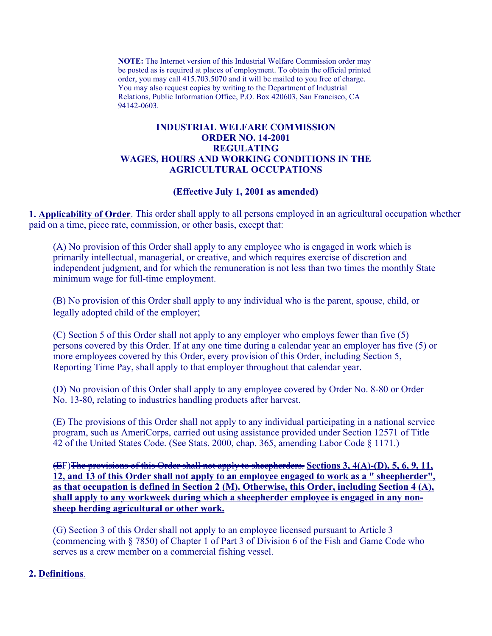**NOTE:** The Internet version of this Industrial Welfare Commission order may order, you may call 415.703.5070 and it will be mailed to you free of charge. You may also request copies by writing to the Department of Industrial be posted as is required at places of employment. To obtain the official printed Relations, Public Information Office, P.O. Box 420603, San Francisco, CA 94142-0603.

# **REGULATING INDUSTRIAL WELFARE COMMISSION ORDER NO. 14-2001 REGULATING<br>WAGES, HOURS AND WORKING CONDITIONS IN THE<br>AGRICULTURAL OCCUPATIONS**

#### **(Effective July 1, 2001 as amended)**

**1. Applicability of Order**. This order shall apply to all persons employed in an agricultural occupation whether paid on a time, piece rate, commission, or other basis, except that:

(A) No provision of this Order shall apply to any employee who is engaged in work which is primarily intellectual, managerial, or creative, and which requires exercise of discretion and independent judgment, and for which the remuneration is not less than two times the monthly State minimum wage for full-time employment.

(B) No provision of this Order shall apply to any individual who is the parent, spouse, child, or legally adopted child of the employer;

(C) Section 5 of this Order shall not apply to any employer who employs fewer than five (5) persons covered by this Order. If at any one time during a calendar year an employer has five (5) or more employees covered by this Order, every provision of this Order, including Section 5, Reporting Time Pay, shall apply to that employer throughout that calendar year.

(D) No provision of this Order shall apply to any employee covered by Order No. 8-80 or Order No. 13-80, relating to industries handling products after harvest.

(E) The provisions of this Order shall not apply to any individual participating in a national service program, such as AmeriCorps, carried out using assistance provided under Section 12571 of Title 42 of the United States Code. (See Stats. 2000, chap. 365, amending Labor Code § 1171.)

(EF)The provisions of this Order shall not apply to sheepherders. **Sections 3, 4(A)-(D), 5, 6, 9, 11, 12, and 13 of this Order shall not apply to an employee engaged to work as a " sheepherder", as that occupation is defined in Section 2 (M). Otherwise, this Order, including Section 4 (A), shall apply to any workweek during which a sheepherder employee is engaged in any nonsheep herding agricultural or other work.** 

(G) Section 3 of this Order shall not apply to an employee licensed pursuant to Article 3 (commencing with § 7850) of Chapter 1 of Part 3 of Division 6 of the Fish and Game Code who serves as a crew member on a commercial fishing vessel.

#### **2. Definitions**.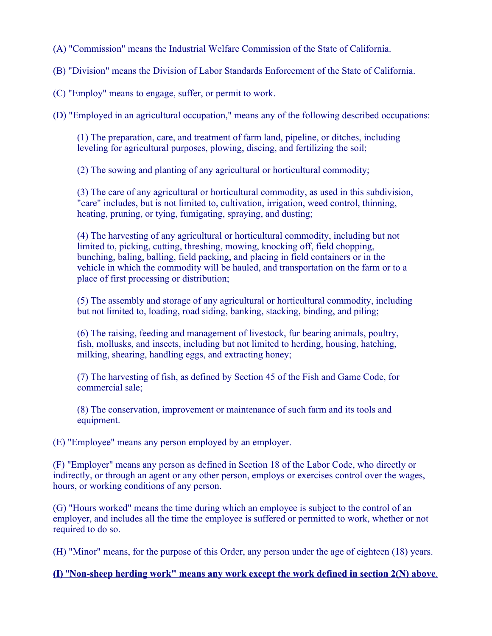- (A) "Commission" means the Industrial Welfare Commission of the State of California.
- (B) "Division" means the Division of Labor Standards Enforcement of the State of California.
- (C) "Employ" means to engage, suffer, or permit to work.

(D) "Employed in an agricultural occupation," means any of the following described occupations:

(1) The preparation, care, and treatment of farm land, pipeline, or ditches, including leveling for agricultural purposes, plowing, discing, and fertilizing the soil;

(2) The sowing and planting of any agricultural or horticultural commodity;

(3) The care of any agricultural or horticultural commodity, as used in this subdivision, "care" includes, but is not limited to, cultivation, irrigation, weed control, thinning, heating, pruning, or tying, fumigating, spraying, and dusting;

(4) The harvesting of any agricultural or horticultural commodity, including but not limited to, picking, cutting, threshing, mowing, knocking off, field chopping, bunching, baling, balling, field packing, and placing in field containers or in the vehicle in which the commodity will be hauled, and transportation on the farm or to a place of first processing or distribution;

(5) The assembly and storage of any agricultural or horticultural commodity, including but not limited to, loading, road siding, banking, stacking, binding, and piling;

(6) The raising, feeding and management of livestock, fur bearing animals, poultry, fish, mollusks, and insects, including but not limited to herding, housing, hatching, milking, shearing, handling eggs, and extracting honey;

(7) The harvesting of fish, as defined by Section 45 of the Fish and Game Code, for commercial sale;

(8) The conservation, improvement or maintenance of such farm and its tools and equipment.

(E) "Employee" means any person employed by an employer.

(F) "Employer" means any person as defined in Section 18 of the Labor Code, who directly or indirectly, or through an agent or any other person, employs or exercises control over the wages, hours, or working conditions of any person.

(G) "Hours worked" means the time during which an employee is subject to the control of an employer, and includes all the time the employee is suffered or permitted to work, whether or not required to do so.

(H) "Minor" means, for the purpose of this Order, any person under the age of eighteen (18) years.

## **(I)** "**Non-sheep herding work" means any work except the work defined in section 2(N) above**.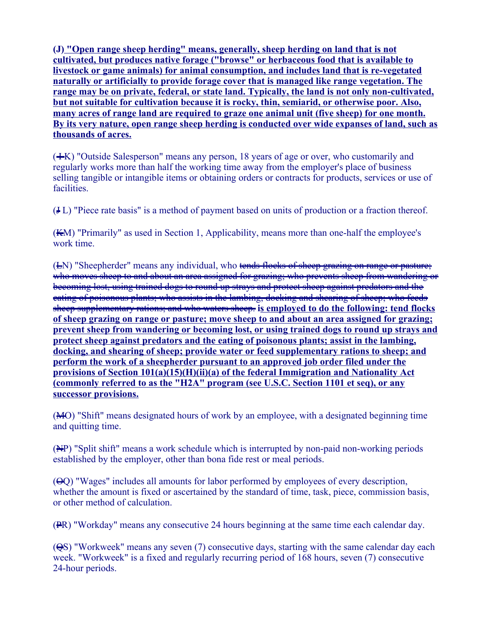**(J) "Open range sheep herding" means, generally, sheep herding on land that is not cultivated, but produces native forage ("browse" or herbaceous food that is available to livestock or game animals) for animal consumption, and includes land that is re-vegetated naturally or artificially to provide forage cover that is managed like range vegetation. The range may be on private, federal, or state land. Typically, the land is not only non-cultivated, but not suitable for cultivation because it is rocky, thin, semiarid, or otherwise poor. Also, many acres of range land are required to graze one animal unit (five sheep) for one month. By its very nature, open range sheep herding is conducted over wide expanses of land, such as thousands of acres.** 

 $(+K)$  "Outside Salesperson" means any person, 18 years of age or over, who customarily and regularly works more than half the working time away from the employer's place of business selling tangible or intangible items or obtaining orders or contracts for products, services or use of facilities.

(J L) "Piece rate basis" is a method of payment based on units of production or a fraction thereof.

(KM) "Primarily" as used in Section 1, Applicability, means more than one-half the employee's work time.

(EN) "Sheepherder" means any individual, who tends flocks of sheep grazing on range or pasture; who moves sheep to and about an area assigned for grazing; who prevents sheep from wandering or becoming lost, using trained dogs to round up strays and protect sheep against predators and the eating of poisonous plants; who assists in the lambing, docking and shearing of sheep; who feeds sheep supplementary rations; and who waters sheep. **is employed to do the following: tend flocks of sheep grazing on range or pasture; move sheep to and about an area assigned for grazing; prevent sheep from wandering or becoming lost, or using trained dogs to round up strays and protect sheep against predators and the eating of poisonous plants; assist in the lambing, docking, and shearing of sheep; provide water or feed supplementary rations to sheep; and perform the work of a sheepherder pursuant to an approved job order filed under the provisions of Section 101(a)(15)(H)(ii)(a) of the federal Immigration and Nationality Act (commonly referred to as the "H2A" program (see U.S.C. Section 1101 et seq), or any successor provisions.** 

(MO) "Shift" means designated hours of work by an employee, with a designated beginning time and quitting time.

(NP) "Split shift" means a work schedule which is interrupted by non-paid non-working periods established by the employer, other than bona fide rest or meal periods.

(OQ) "Wages" includes all amounts for labor performed by employees of every description, whether the amount is fixed or ascertained by the standard of time, task, piece, commission basis, or other method of calculation.

(PR) "Workday" means any consecutive 24 hours beginning at the same time each calendar day.

(QS) "Workweek" means any seven (7) consecutive days, starting with the same calendar day each week. "Workweek" is a fixed and regularly recurring period of 168 hours, seven (7) consecutive 24-hour periods.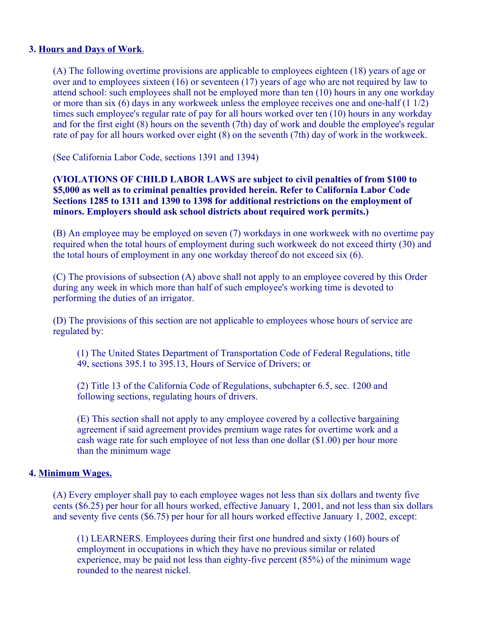## **3. Hours and Days of Work**.

(A) The following overtime provisions are applicable to employees eighteen (18) years of age or over and to employees sixteen (16) or seventeen (17) years of age who are not required by law to attend school: such employees shall not be employed more than ten (10) hours in any one workday or more than six (6) days in any workweek unless the employee receives one and one-half (1 1/2) times such employee's regular rate of pay for all hours worked over ten (10) hours in any workday and for the first eight (8) hours on the seventh (7th) day of work and double the employee's regular rate of pay for all hours worked over eight (8) on the seventh (7th) day of work in the workweek.

(See California Labor Code, sections 1391 and 1394)

### **(VIOLATIONS OF CHILD LABOR LAWS are subject to civil penalties of from \$100 to \$5,000 as well as to criminal penalties provided herein. Refer to California Labor Code Sections 1285 to 1311 and 1390 to 1398 for additional restrictions on the employment of minors. Employers should ask school districts about required work permits.)**

(B) An employee may be employed on seven (7) workdays in one workweek with no overtime pay required when the total hours of employment during such workweek do not exceed thirty (30) and the total hours of employment in any one workday thereof do not exceed six (6).

(C) The provisions of subsection (A) above shall not apply to an employee covered by this Order during any week in which more than half of such employee's working time is devoted to performing the duties of an irrigator.

(D) The provisions of this section are not applicable to employees whose hours of service are regulated by:

(1) The United States Department of Transportation Code of Federal Regulations, title 49, sections 395.1 to 395.13, Hours of Service of Drivers; or

(2) Title 13 of the California Code of Regulations, subchapter 6.5, sec. 1200 and following sections, regulating hours of drivers.

(E) This section shall not apply to any employee covered by a collective bargaining agreement if said agreement provides premium wage rates for overtime work and a cash wage rate for such employee of not less than one dollar (\$1.00) per hour more than the minimum wage

## **4. Minimum Wages.**

(A) Every employer shall pay to each employee wages not less than six dollars and twenty five cents (\$6.25) per hour for all hours worked, effective January 1, 2001, and not less than six dollars and seventy five cents (\$6.75) per hour for all hours worked effective January 1, 2002, except:

(1) LEARNERS. Employees during their first one hundred and sixty (160) hours of employment in occupations in which they have no previous similar or related experience, may be paid not less than eighty-five percent (85%) of the minimum wage rounded to the nearest nickel.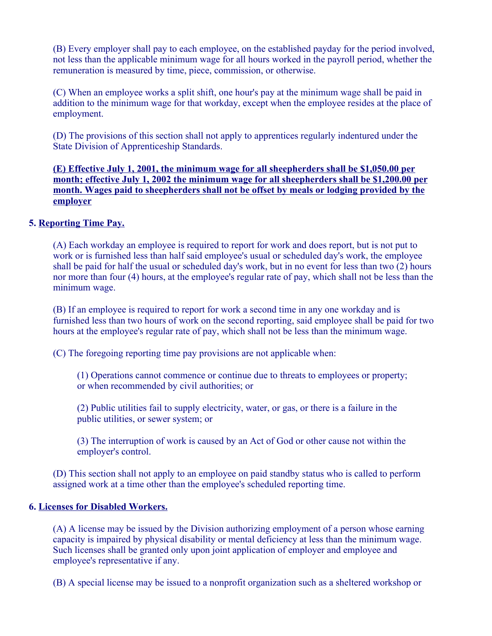(B) Every employer shall pay to each employee, on the established payday for the period involved, not less than the applicable minimum wage for all hours worked in the payroll period, whether the remuneration is measured by time, piece, commission, or otherwise.

(C) When an employee works a split shift, one hour's pay at the minimum wage shall be paid in addition to the minimum wage for that workday, except when the employee resides at the place of employment.

(D) The provisions of this section shall not apply to apprentices regularly indentured under the State Division of Apprenticeship Standards.

**(E) Effective July 1, 2001, the minimum wage for all sheepherders shall be \$1,050.00 per month; effective July 1, 2002 the minimum wage for all sheepherders shall be \$1,200.00 per month. Wages paid to sheepherders shall not be offset by meals or lodging provided by the employer** 

## **5. Reporting Time Pay.**

(A) Each workday an employee is required to report for work and does report, but is not put to work or is furnished less than half said employee's usual or scheduled day's work, the employee shall be paid for half the usual or scheduled day's work, but in no event for less than two (2) hours nor more than four (4) hours, at the employee's regular rate of pay, which shall not be less than the minimum wage.

(B) If an employee is required to report for work a second time in any one workday and is furnished less than two hours of work on the second reporting, said employee shall be paid for two hours at the employee's regular rate of pay, which shall not be less than the minimum wage.

(C) The foregoing reporting time pay provisions are not applicable when:

(1) Operations cannot commence or continue due to threats to employees or property; or when recommended by civil authorities; or

(2) Public utilities fail to supply electricity, water, or gas, or there is a failure in the public utilities, or sewer system; or

(3) The interruption of work is caused by an Act of God or other cause not within the employer's control.

(D) This section shall not apply to an employee on paid standby status who is called to perform assigned work at a time other than the employee's scheduled reporting time.

## **6. Licenses for Disabled Workers.**

(A) A license may be issued by the Division authorizing employment of a person whose earning capacity is impaired by physical disability or mental deficiency at less than the minimum wage. Such licenses shall be granted only upon joint application of employer and employee and employee's representative if any.

(B) A special license may be issued to a nonprofit organization such as a sheltered workshop or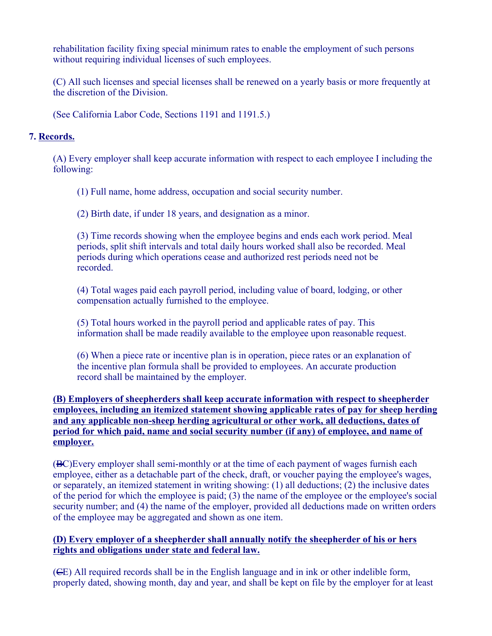rehabilitation facility fixing special minimum rates to enable the employment of such persons without requiring individual licenses of such employees.

(C) All such licenses and special licenses shall be renewed on a yearly basis or more frequently at the discretion of the Division.

(See California Labor Code, Sections 1191 and 1191.5.)

## **7. Records.**

(A) Every employer shall keep accurate information with respect to each employee I including the following:

(1) Full name, home address, occupation and social security number.

(2) Birth date, if under 18 years, and designation as a minor.

(3) Time records showing when the employee begins and ends each work period. Meal periods, split shift intervals and total daily hours worked shall also be recorded. Meal periods during which operations cease and authorized rest periods need not be recorded.

(4) Total wages paid each payroll period, including value of board, lodging, or other compensation actually furnished to the employee.

(5) Total hours worked in the payroll period and applicable rates of pay. This information shall be made readily available to the employee upon reasonable request.

(6) When a piece rate or incentive plan is in operation, piece rates or an explanation of the incentive plan formula shall be provided to employees. An accurate production record shall be maintained by the employer.

## **(B) Employers of sheepherders shall keep accurate information with respect to sheepherder employees, including an itemized statement showing applicable rates of pay for sheep herding and any applicable non-sheep herding agricultural or other work, all deductions, dates of period for which paid, name and social security number (if any) of employee, and name of employer.**

(BC)Every employer shall semi-monthly or at the time of each payment of wages furnish each employee, either as a detachable part of the check, draft, or voucher paying the employee's wages, or separately, an itemized statement in writing showing: (1) all deductions; (2) the inclusive dates of the period for which the employee is paid; (3) the name of the employee or the employee's social security number; and (4) the name of the employer, provided all deductions made on written orders of the employee may be aggregated and shown as one item.

## **(D) Every employer of a sheepherder shall annually notify the sheepherder of his or hers rights and obligations under state and federal law.**

(CE) All required records shall be in the English language and in ink or other indelible form, properly dated, showing month, day and year, and shall be kept on file by the employer for at least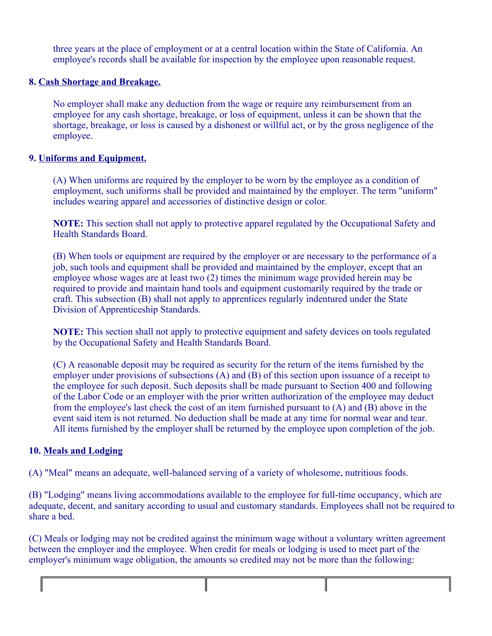three years at the place of employment or at a central location within the State of California. An employee's records shall be available for inspection by the employee upon reasonable request.

## **8. Cash Shortage and Breakage.**

No employer shall make any deduction from the wage or require any reimbursement from an employee for any cash shortage, breakage, or loss of equipment, unless it can be shown that the shortage, breakage, or loss is caused by a dishonest or willful act, or by the gross negligence of the employee.

### **9. Uniforms and Equipment.**

(A) When uniforms are required by the employer to be worn by the employee as a condition of employment, such uniforms shall be provided and maintained by the employer. The term "uniform" includes wearing apparel and accessories of distinctive design or color.

**NOTE:** This section shall not apply to protective apparel regulated by the Occupational Safety and Health Standards Board.

(B) When tools or equipment are required by the employer or are necessary to the performance of a job, such tools and equipment shall be provided and maintained by the employer, except that an employee whose wages are at least two (2) times the minimum wage provided herein may be required to provide and maintain hand tools and equipment customarily required by the trade or craft. This subsection (B) shall not apply to apprentices regularly indentured under the State Division of Apprenticeship Standards.

**NOTE:** This section shall not apply to protective equipment and safety devices on tools regulated by the Occupational Safety and Health Standards Board.

(C) A reasonable deposit may be required as security for the return of the items furnished by the employer under provisions of subsections (A) and (B) of this section upon issuance of a receipt to the employee for such deposit. Such deposits shall be made pursuant to Section 400 and following of the Labor Code or an employer with the prior written authorization of the employee may deduct from the employee's last check the cost of an item furnished pursuant to (A) and (B) above in the event said item is not returned. No deduction shall be made at any time for normal wear and tear. All items furnished by the employer shall be returned by the employee upon completion of the job.

## **10. Meals and Lodging**

(A) "Meal" means an adequate, well-balanced serving of a variety of wholesome, nutritious foods.

(B) "Lodging" means living accommodations available to the employee for full-time occupancy, which are adequate, decent, and sanitary according to usual and customary standards. Employees shall not be required to share a bed.

(C) Meals or lodging may not be credited against the minimum wage without a voluntary written agreement between the employer and the employee. When credit for meals or lodging is used to meet part of the employer's minimum wage obligation, the amounts so credited may not be more than the following: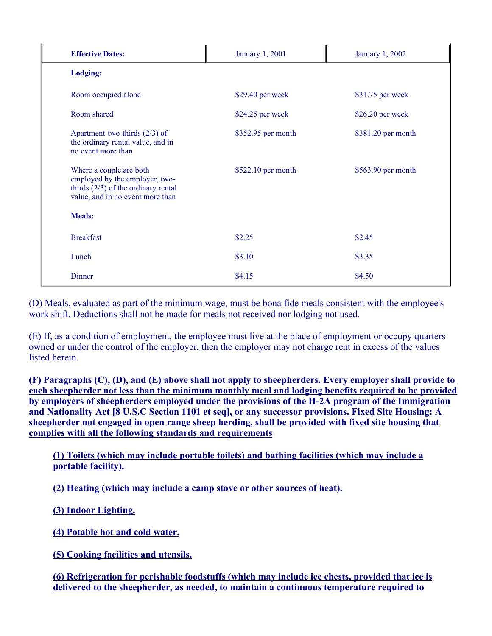| <b>Effective Dates:</b>                                                                                                                | January 1, 2001    | January 1, 2002    |
|----------------------------------------------------------------------------------------------------------------------------------------|--------------------|--------------------|
| <b>Lodging:</b>                                                                                                                        |                    |                    |
| Room occupied alone                                                                                                                    | \$29.40 per week   | \$31.75 per week   |
| Room shared                                                                                                                            | \$24.25 per week   | \$26.20 per week   |
| Apartment-two-thirds $(2/3)$ of<br>the ordinary rental value, and in<br>no event more than                                             | \$352.95 per month | \$381.20 per month |
| Where a couple are both<br>employed by the employer, two-<br>thirds $(2/3)$ of the ordinary rental<br>value, and in no event more than | \$522.10 per month | \$563.90 per month |
| <b>Meals:</b>                                                                                                                          |                    |                    |
| <b>Breakfast</b>                                                                                                                       | \$2.25             | \$2.45             |
| Lunch                                                                                                                                  | \$3.10             | \$3.35             |
| Dinner                                                                                                                                 | \$4.15             | \$4.50             |

(D) Meals, evaluated as part of the minimum wage, must be bona fide meals consistent with the employee's work shift. Deductions shall not be made for meals not received nor lodging not used.

(E) If, as a condition of employment, the employee must live at the place of employment or occupy quarters owned or under the control of the employer, then the employer may not charge rent in excess of the values listed herein.

**(F) Paragraphs (C), (D), and (E) above shall not apply to sheepherders. Every employer shall provide to each sheepherder not less than the minimum monthly meal and lodging benefits required to be provided by employers of sheepherders employed under the provisions of the H-2A program of the Immigration and Nationality Act [8 U.S.C Section 1101 et seq], or any successor provisions. Fixed Site Housing: A sheepherder not engaged in open range sheep herding, shall be provided with fixed site housing that complies with all the following standards and requirements** 

**(1) Toilets (which may include portable toilets) and bathing facilities (which may include a portable facility).** 

**(2) Heating (which may include a camp stove or other sources of heat).** 

**(3) Indoor Lighting.** 

**(4) Potable hot and cold water.** 

**(5) Cooking facilities and utensils.** 

**(6) Refrigeration for perishable foodstuffs (which may include ice chests, provided that ice is delivered to the sheepherder, as needed, to maintain a continuous temperature required to**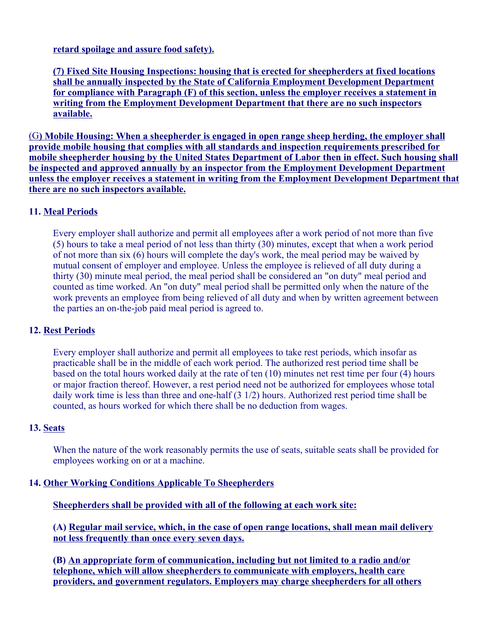**retard spoilage and assure food safety).** 

**(7) Fixed Site Housing Inspections: housing that is erected for sheepherders at fixed locations shall be annually inspected by the State of California Employment Development Department for compliance with Paragraph (F) of this section, unless the employer receives a statement in writing from the Employment Development Department that there are no such inspectors available.** 

(G**) Mobile Housing: When a sheepherder is engaged in open range sheep herding, the employer shall provide mobile housing that complies with all standards and inspection requirements prescribed for mobile sheepherder housing by the United States Department of Labor then in effect. Such housing shall be inspected and approved annually by an inspector from the Employment Development Department unless the employer receives a statement in writing from the Employment Development Department that there are no such inspectors available.** 

## **11. Meal Periods**

Every employer shall authorize and permit all employees after a work period of not more than five (5) hours to take a meal period of not less than thirty (30) minutes, except that when a work period of not more than six (6) hours will complete the day's work, the meal period may be waived by mutual consent of employer and employee. Unless the employee is relieved of all duty during a thirty (30) minute meal period, the meal period shall be considered an "on duty" meal period and counted as time worked. An "on duty" meal period shall be permitted only when the nature of the work prevents an employee from being relieved of all duty and when by written agreement between the parties an on-the-job paid meal period is agreed to.

## **12. Rest Periods**

Every employer shall authorize and permit all employees to take rest periods, which insofar as practicable shall be in the middle of each work period. The authorized rest period time shall be based on the total hours worked daily at the rate of ten (10) minutes net rest time per four (4) hours or major fraction thereof. However, a rest period need not be authorized for employees whose total daily work time is less than three and one-half (3 1/2) hours. Authorized rest period time shall be counted, as hours worked for which there shall be no deduction from wages.

## **13. Seats**

When the nature of the work reasonably permits the use of seats, suitable seats shall be provided for employees working on or at a machine.

## **14. Other Working Conditions Applicable To Sheepherders**

**Sheepherders shall be provided with all of the following at each work site:** 

**(A) Regular mail service, which, in the case of open range locations, shall mean mail delivery not less frequently than once every seven days.** 

**(B) An appropriate form of communication, including but not limited to a radio and/or telephone, which will allow sheepherders to communicate with employers, health care providers, and government regulators. Employers may charge sheepherders for all others**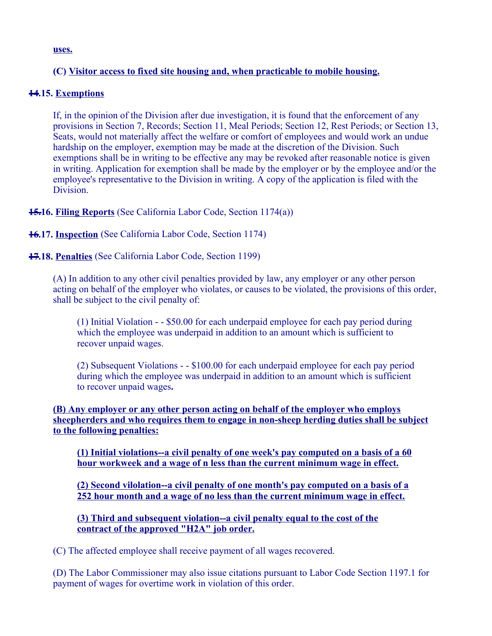**uses.** 

# **(C) Visitor access to fixed site housing and, when practicable to mobile housing.**

## **14.15. Exemptions**

If, in the opinion of the Division after due investigation, it is found that the enforcement of any provisions in Section 7, Records; Section 11, Meal Periods; Section 12, Rest Periods; or Section 13, Seats, would not materially affect the welfare or comfort of employees and would work an undue hardship on the employer, exemption may be made at the discretion of the Division. Such exemptions shall be in writing to be effective any may be revoked after reasonable notice is given in writing. Application for exemption shall be made by the employer or by the employee and/or the employee's representative to the Division in writing. A copy of the application is filed with the Division.

**15.16. Filing Reports** (See California Labor Code, Section 1174(a))

## **16.17. Inspection** (See California Labor Code, Section 1174)

## **17.18. Penalties** (See California Labor Code, Section 1199)

(A) In addition to any other civil penalties provided by law, any employer or any other person acting on behalf of the employer who violates, or causes to be violated, the provisions of this order, shall be subject to the civil penalty of:

(1) Initial Violation - - \$50.00 for each underpaid employee for each pay period during which the employee was underpaid in addition to an amount which is sufficient to recover unpaid wages.

(2) Subsequent Violations - - \$100.00 for each underpaid employee for each pay period during which the employee was underpaid in addition to an amount which is sufficient to recover unpaid wages**.** 

**(B) Any employer or any other person acting on behalf of the employer who employs sheepherders and who requires them to engage in non-sheep herding duties shall be subject to the following penalties:** 

**(1) Initial violations--a civil penalty of one week's pay computed on a basis of a 60 hour workweek and a wage of n less than the current minimum wage in effect.** 

**(2) Second vilolation--a civil penalty of one month's pay computed on a basis of a 252 hour month and a wage of no less than the current minimum wage in effect.** 

**(3) Third and subsequent violation--a civil penalty equal to the cost of the contract of the approved "H2A" job order.** 

(C) The affected employee shall receive payment of all wages recovered.

(D) The Labor Commissioner may also issue citations pursuant to Labor Code Section 1197.1 for payment of wages for overtime work in violation of this order.